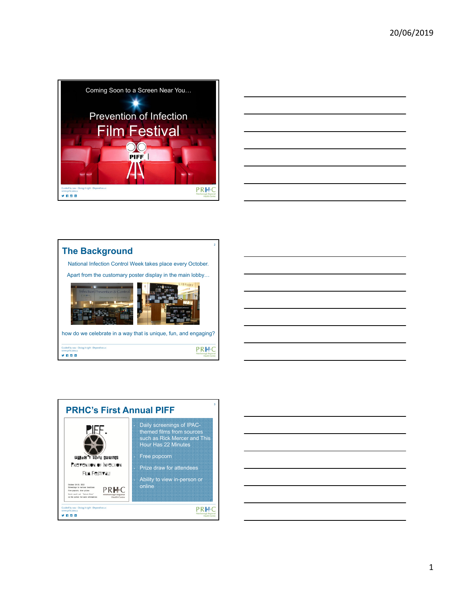







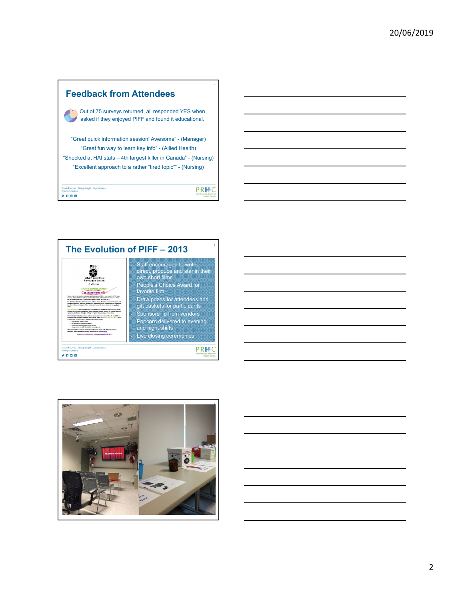



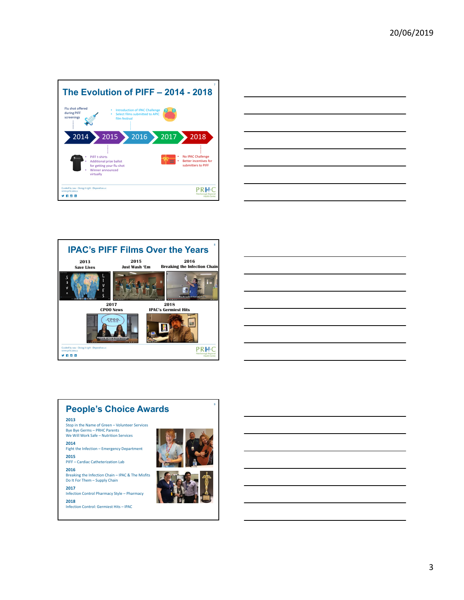

|                                                                                                                                                                                                                               | <u> 1989 - Johann Barn, amerikan bernama di sebagai bernama di sebagai bernama di sebagai bernama di sebagai bern</u> |
|-------------------------------------------------------------------------------------------------------------------------------------------------------------------------------------------------------------------------------|-----------------------------------------------------------------------------------------------------------------------|
|                                                                                                                                                                                                                               |                                                                                                                       |
|                                                                                                                                                                                                                               |                                                                                                                       |
| the control of the control of the control of the control of the control of the control of the control of the control of the control of the control of the control of the control of the control of the control of the control |                                                                                                                       |
|                                                                                                                                                                                                                               |                                                                                                                       |
|                                                                                                                                                                                                                               |                                                                                                                       |
|                                                                                                                                                                                                                               |                                                                                                                       |
|                                                                                                                                                                                                                               |                                                                                                                       |
|                                                                                                                                                                                                                               |                                                                                                                       |
|                                                                                                                                                                                                                               |                                                                                                                       |
|                                                                                                                                                                                                                               |                                                                                                                       |
|                                                                                                                                                                                                                               |                                                                                                                       |







3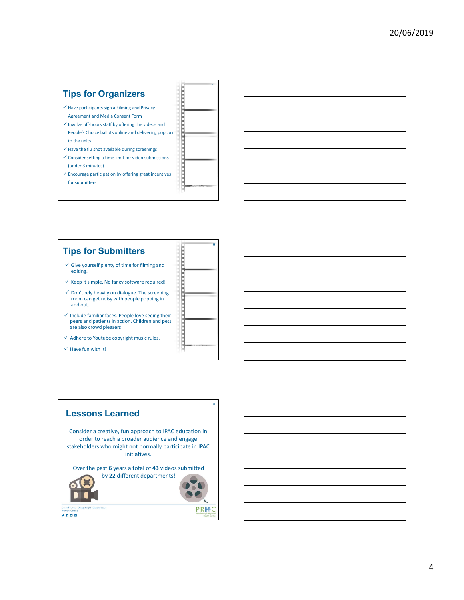## танатурналар **Tips for Organizers**  $\checkmark$  Have participants sign a Filming and Privacy Agreement and Media Consent Form  $\checkmark$  Involve off-hours staff by offering the videos and People's Choice ballots online and delivering popcorn to the units  $\checkmark$  Have the flu shot available during screenings  $\checkmark$  Consider setting a time limit for video submissions **THE REAL PROPERTY** (under 3 minutes)  $\checkmark$  Encourage participation by offering great incentives for submitters



10

11

поставительно проста

## **Tips for Submitters**

- $\checkmark$  Give yourself plenty of time for filming and editing.
- $\checkmark$  Keep it simple. No fancy software required!
- $\checkmark$  Don't rely heavily on dialogue. The screening<br>room can get noisy with people popping in and out.
- $\checkmark$  Include familiar faces. People love seeing their peers and patients in action. Children and pets are also crowd pleasers!
- $\checkmark$  Adhere to Youtube copyright music rules.
- $\checkmark$  Have fun with it!

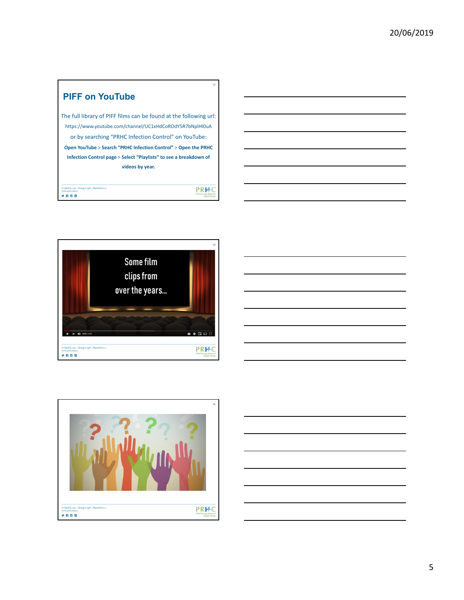## 13 **PIFF on YouTube** The full library of PIFF films can be found at the following url: https://www.youtube.com/channel/UC1xHdCoROdY5R7bNplHl0uA or by searching "PRHC Infection Control" on YouTube: **Open YouTube** > **Search "PRHC Infection Control"** > **Open the PRHC Infection Control page** > **Select "Playlists" to see a breakdown of videos by year.** Guided by you - Doing it right - Depend on us PRHC

**ynes**